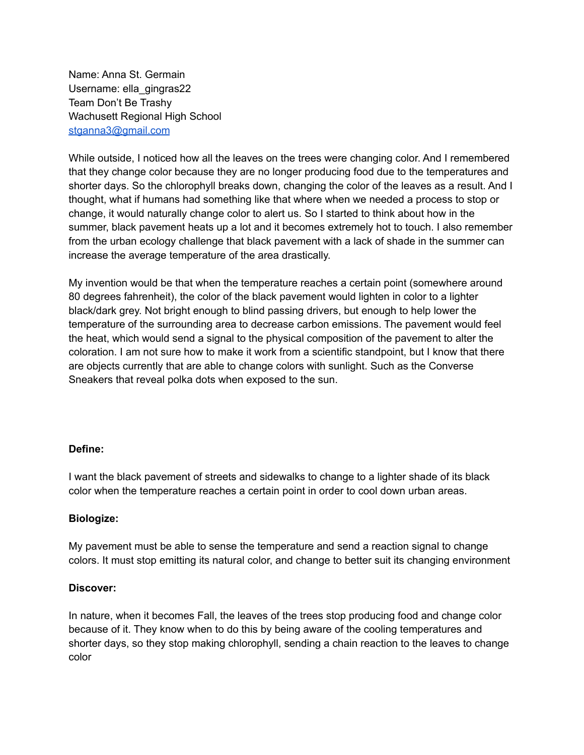Name: Anna St. Germain Username: ella\_gingras22 Team Don't Be Trashy Wachusett Regional High School [stganna3@gmail.com](mailto:stganna3@gmail.com)

While outside, I noticed how all the leaves on the trees were changing color. And I remembered that they change color because they are no longer producing food due to the temperatures and shorter days. So the chlorophyll breaks down, changing the color of the leaves as a result. And I thought, what if humans had something like that where when we needed a process to stop or change, it would naturally change color to alert us. So I started to think about how in the summer, black pavement heats up a lot and it becomes extremely hot to touch. I also remember from the urban ecology challenge that black pavement with a lack of shade in the summer can increase the average temperature of the area drastically.

My invention would be that when the temperature reaches a certain point (somewhere around 80 degrees fahrenheit), the color of the black pavement would lighten in color to a lighter black/dark grey. Not bright enough to blind passing drivers, but enough to help lower the temperature of the surrounding area to decrease carbon emissions. The pavement would feel the heat, which would send a signal to the physical composition of the pavement to alter the coloration. I am not sure how to make it work from a scientific standpoint, but I know that there are objects currently that are able to change colors with sunlight. Such as the Converse Sneakers that reveal polka dots when exposed to the sun.

## **Define:**

I want the black pavement of streets and sidewalks to change to a lighter shade of its black color when the temperature reaches a certain point in order to cool down urban areas.

# **Biologize:**

My pavement must be able to sense the temperature and send a reaction signal to change colors. It must stop emitting its natural color, and change to better suit its changing environment

## **Discover:**

In nature, when it becomes Fall, the leaves of the trees stop producing food and change color because of it. They know when to do this by being aware of the cooling temperatures and shorter days, so they stop making chlorophyll, sending a chain reaction to the leaves to change color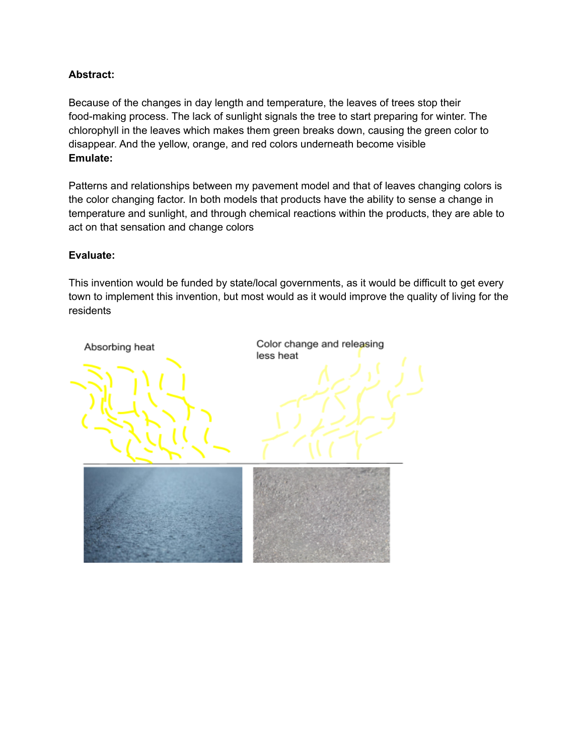## **Abstract:**

Because of the changes in day length and temperature, the leaves of trees stop their food-making process. The lack of sunlight signals the tree to start preparing for winter. The chlorophyll in the leaves which makes them green breaks down, causing the green color to disappear. And the yellow, orange, and red colors underneath become visible **Emulate:**

Patterns and relationships between my pavement model and that of leaves changing colors is the color changing factor. In both models that products have the ability to sense a change in temperature and sunlight, and through chemical reactions within the products, they are able to act on that sensation and change colors

## **Evaluate:**

This invention would be funded by state/local governments, as it would be difficult to get every town to implement this invention, but most would as it would improve the quality of living for the residents